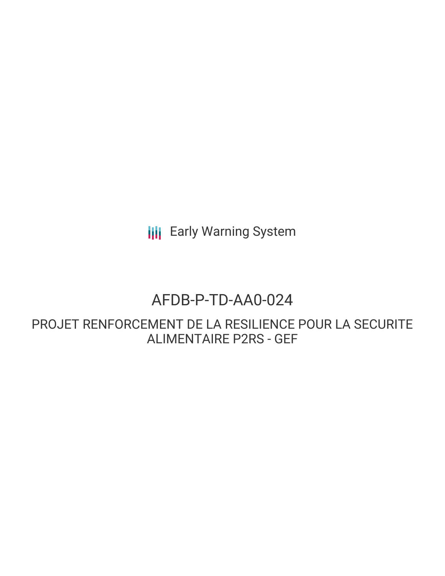**III** Early Warning System

# AFDB-P-TD-AA0-024

PROJET RENFORCEMENT DE LA RESILIENCE POUR LA SECURITE ALIMENTAIRE P2RS - GEF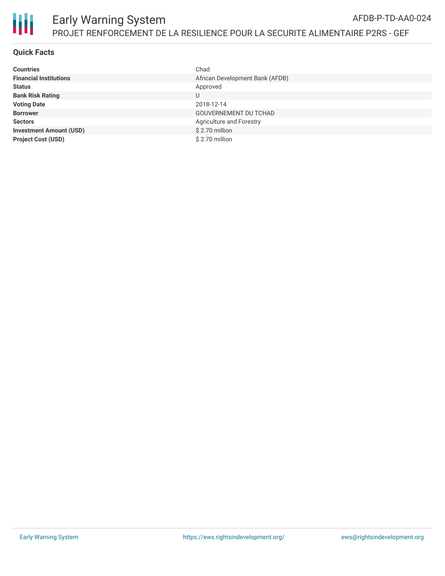

# **Quick Facts**

| <b>Countries</b>               | Chad                            |
|--------------------------------|---------------------------------|
| <b>Financial Institutions</b>  | African Development Bank (AFDB) |
| <b>Status</b>                  | Approved                        |
| <b>Bank Risk Rating</b>        | U                               |
| <b>Voting Date</b>             | 2018-12-14                      |
| <b>Borrower</b>                | <b>GOUVERNEMENT DU TCHAD</b>    |
| <b>Sectors</b>                 | Agriculture and Forestry        |
| <b>Investment Amount (USD)</b> | \$2.70 million                  |
| <b>Project Cost (USD)</b>      | \$2.70 million                  |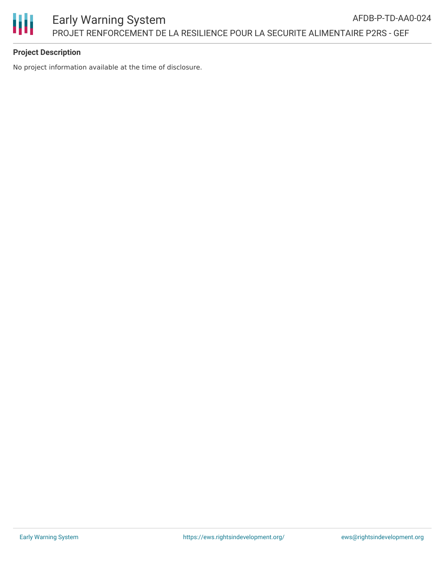

# **Project Description**

No project information available at the time of disclosure.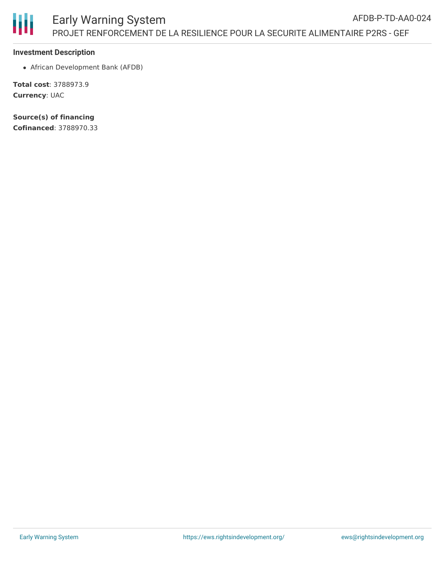

#### **Investment Description**

African Development Bank (AFDB)

**Total cost**: 3788973.9 **Currency**: UAC

**Source(s) of financing Cofinanced**: 3788970.33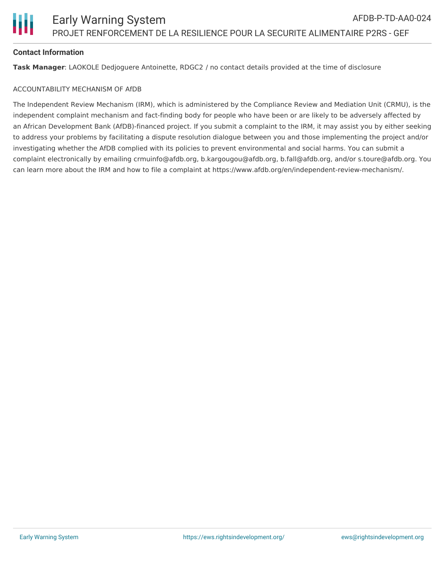

### **Contact Information**

**Task Manager**: LAOKOLE Dedjoguere Antoinette, RDGC2 / no contact details provided at the time of disclosure

#### ACCOUNTABILITY MECHANISM OF AfDB

The Independent Review Mechanism (IRM), which is administered by the Compliance Review and Mediation Unit (CRMU), is the independent complaint mechanism and fact-finding body for people who have been or are likely to be adversely affected by an African Development Bank (AfDB)-financed project. If you submit a complaint to the IRM, it may assist you by either seeking to address your problems by facilitating a dispute resolution dialogue between you and those implementing the project and/or investigating whether the AfDB complied with its policies to prevent environmental and social harms. You can submit a complaint electronically by emailing crmuinfo@afdb.org, b.kargougou@afdb.org, b.fall@afdb.org, and/or s.toure@afdb.org. You can learn more about the IRM and how to file a complaint at https://www.afdb.org/en/independent-review-mechanism/.